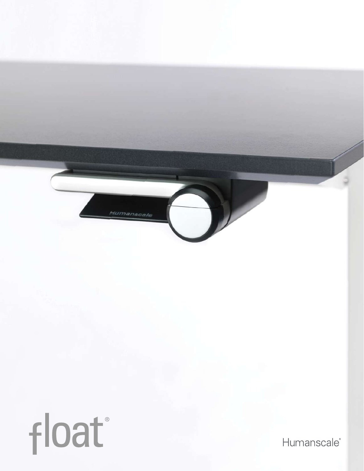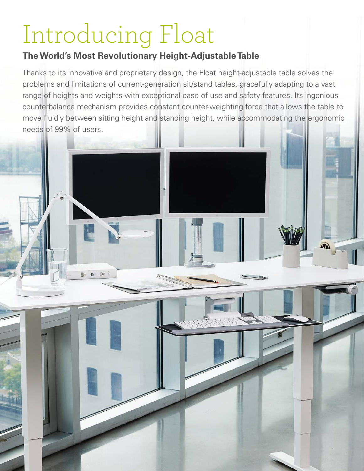# Introducing Float

 $b$   $b$   $b$   $b$ 

# **TheWorld's Most Revolutionary Height-Adjustable Table**

Thanks to its innovative and proprietary design, the Float height-adjustable table solves the problems and limitations of current-generation sit/stand tables, gracefully adapting to a vast range of heights and weights with exceptional ease of use and safety features. Its ingenious counterbalance mechanism provides constant counter-weighting force that allows the table to move fluidly between sitting height and standing height, while accommodating the ergonomic needs of 99% of users.

 $\widehat{\mathbf{M}}$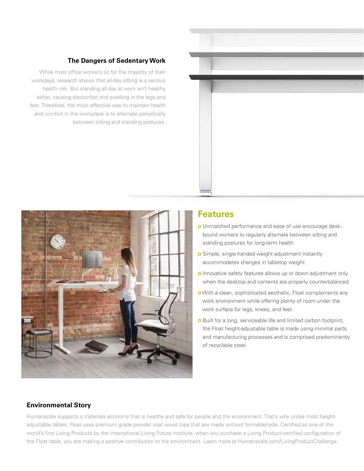

**The Dangers of SedentaryWork**

between sitting and standing postures.

While most office workers sit for the majority of their workdays, research shows that all-day sitting is a serious health risk. But standing all day at work isn't healthy either, causing discomfort and swelling in the legs and feet. Therefore, the most effective way to maintain health and comfort in the workplace is to alternate periodically

### **Features**

- Unmatched performance and ease of use encourage deskbound workers to regularly alternate between sitting and standing postures for long-term health
- **o** Simple, single-handed weight adjustment instantly accommodates changes in tabletop weight
- **O** Innovative safety features allows up or down adjustment only when the desktop and contents are properly counterbalanced
- With a clean, sophisticated aesthetic, Float complements any work environment while offering plenty of room under the work surface for legs, knees, and feet
- **O** Built for a long, serviceable life and limited carbon footprint, the Float height-adjustable table is made using minimal parts and manufacturing processes and is comprised predominantly of recyclable steel

#### **Environmental Story**

Humanscale supports a materials economy that is healthy and safe for people and the environment. That's why unlike most heightadjustable tables, Float uses premium grade powder coat wood tops that are made without formaldehyde. Certified as one of the world's first Living Products by the International Living Future Institute, when you purchase a Living Product-certified configuration of the Float table, you are making a positive contribution to the environment. Learn more at Humanscale.com/LivingProductChallenge.